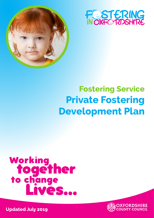



## **Fostering Service Private Fostering Development Plan**

# Working to gether<br>to change<br>Lives...



**Updated July 2019**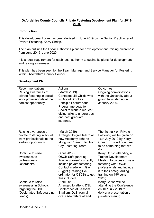### **Oxfordshire County Councils Private Fostering Development Plan for 2019- 2020.**

#### **Introduction**

This development plan has been devised in June 2019 by the Senior Practitioner of Private Fostering, Kerry Chrisp.

The plan outlines the Local Authorities plans for development and raising awareness from June 2019- June 2020.

 and raising awareness. It is a legal requirement for each local authority to outline its plans for development

This plan has been seen by the Team Manager and Service Manager for Fostering within Oxfordshire County Council.

#### **Development Plan**

| Recommendations                                                                                           | Actions                                                                                                                                                                                                                   | Outcomes                                                                                                                                                                                                            |
|-----------------------------------------------------------------------------------------------------------|---------------------------------------------------------------------------------------------------------------------------------------------------------------------------------------------------------------------------|---------------------------------------------------------------------------------------------------------------------------------------------------------------------------------------------------------------------|
| Raising awareness of<br>private fostering in social<br>work professionals at the<br>earliest opportunity. | (March 2019)<br><b>Contacted Jill Childs who</b><br>is Oxford Brookes<br><b>Principle Lecturer and</b><br>Programme Lead for<br>Social to work to request<br>giving talks to undergrads<br>and post graduate<br>students. | Ongoing conversations<br>with the University about<br>giving talks starting in<br>January 2020.                                                                                                                     |
| Raising awareness of<br>private fostering in social<br>work professionals at the<br>earliest opportunity. | (March 2019)<br>Arranged to give talk to all<br>new Academy cohorts<br>along with Sarah Hart from<br><b>City Fostering Team.</b>                                                                                          | The first talk on Private<br>Fostering will be given on<br>16th July 2019 by Kerry<br>Chrisp. This will continue<br>to be something that we<br>do.                                                                  |
| Continue to raise<br>awareness to<br>professionals in<br>Oxfordshire                                      | (April 2019)<br><b>OSCB Safeguarding</b><br>Training doesn't currently<br>include private fostering.<br>Contact made with Gay<br><b>Suggitt (Training Co-</b><br>ordinator for OSCB) to get<br>this included              | Kerry Chrisp attending a<br><b>Trainer Development</b><br>Meeting to discuss private<br>fostering with OSCB<br>professionals and include<br>it to their safeguarding<br>training on 19 <sup>th</sup> June<br>2019). |
| Continue to raise<br>awareness in Schools<br>targeting the DSL<br>(Designated Safeguarding<br>Leads)      | (April 2019)<br>Arranged to attend DSL<br>Conference at Kassam<br>Stadium, DLS from all<br>over Oxfordshire attend                                                                                                        | Kerry Chrisp will be<br>attending the Conference<br>on 10 <sup>th</sup> July 2019 to<br>deliver a presentation on<br>private fostering.                                                                             |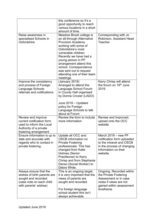|                                                                                                                                    | this conference so it's a<br>good opportunity to reach<br>various locations in a short<br>amount of time.                                                                                                                                                                                                                           |                                                                                                                                                 |
|------------------------------------------------------------------------------------------------------------------------------------|-------------------------------------------------------------------------------------------------------------------------------------------------------------------------------------------------------------------------------------------------------------------------------------------------------------------------------------|-------------------------------------------------------------------------------------------------------------------------------------------------|
| Raise awareness in<br>specialised Schools in<br>Oxfordshire.                                                                       | Meadow Brook college is<br>an all-through Alternative<br><b>Provision Academy</b><br>working with some of<br>Oxfordshire's most<br>vulnerable children.<br>Recently we have had a<br>young person in PF<br>arrangement attend this<br>school. Correspondence<br>was sent out to request<br>attending one of their team<br>meetings. | Corresponding with Jo<br>Robinson, Assistant Head<br>Teacher.                                                                                   |
| Improve the consistency<br>and process of Foreign<br>Language Schools<br>referrals and notifications.                              | (January 2019)<br>Arranged to attend the<br>Language School Forum<br>in County Hall organised<br>by Donna Crozier (LADO)<br>June 2019 - Updated<br>policy for Foreign<br>Language Schools to talk<br>about at Forum                                                                                                                 | Kerry Chrisp will attend<br>the forum on 19 <sup>th</sup> June<br>2019.                                                                         |
| Review and improve<br>current notification form<br>used to inform the Local<br>Authority of a private<br>fostering arrangement.    | Review the form to include<br>more information.                                                                                                                                                                                                                                                                                     | Review and Improved,<br>upload onto the OCC<br>website                                                                                          |
| Ensure information is up to<br>date and accurate with<br>regards who to contact in<br>private fostering.                           | Update all OCC and<br><b>OSCB</b> information on<br><b>Private Fostering</b><br>professionals. This has<br>changed from Katie<br><b>Holmes (Senior</b><br>Practitioner) to Kerry<br>Chrisp and from Stephanie<br>Danso (Social Worker) to<br>Debra White.                                                                           | March 2019 - new PF<br>notification form uploaded<br>to the intranet and OSCB<br>in the process of changing<br>information on their<br>website. |
| Always ensure that the<br>wishes of birth parents are<br>sought and recorded.<br>(case note on each child<br>with parents' wishes) | This is an ongoing target,<br>it is very important that the<br>views of parents are<br>sought and recorded.<br>For foreign language<br>school student this isn't<br>always achievable.                                                                                                                                              | Ongoing. Recorded within<br>the Private Fostering<br>Assessment or in case<br>notes if views are not<br>gained within assessment<br>timeframe.  |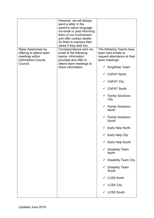|                                                                                                           | However, we will always<br>send a letter in the<br>parent's native language<br>via email or post informing<br>them of our involvement<br>and offer contact details<br>for them to express their<br>views if they wish too. |                                                                                                  |
|-----------------------------------------------------------------------------------------------------------|----------------------------------------------------------------------------------------------------------------------------------------------------------------------------------------------------------------------------|--------------------------------------------------------------------------------------------------|
| Raise Awareness by<br>offering to attend team<br>meetings within<br><b>Oxfordshire County</b><br>Council. | Correspondence sent via<br>email to the following<br>teams- information<br>provided and offer to<br>attend team meetings to<br>share information.                                                                          | The following Teams have<br>been sent emails to<br>request attendance at their<br>team meetings: |
|                                                                                                           |                                                                                                                                                                                                                            | $\checkmark$ Kingfisher Team                                                                     |
|                                                                                                           |                                                                                                                                                                                                                            | <b>CAFAT North</b>                                                                               |
|                                                                                                           |                                                                                                                                                                                                                            | $\checkmark$ CAFAT City                                                                          |
|                                                                                                           |                                                                                                                                                                                                                            | $\checkmark$ CAFAT South                                                                         |
|                                                                                                           |                                                                                                                                                                                                                            | $\checkmark$ Family Solutions<br>City                                                            |
|                                                                                                           |                                                                                                                                                                                                                            | $\checkmark$ Family Solutions<br><b>North</b>                                                    |
|                                                                                                           |                                                                                                                                                                                                                            | $\checkmark$ Family Solutions<br>South                                                           |
|                                                                                                           |                                                                                                                                                                                                                            | <b>Early Help North</b>                                                                          |
|                                                                                                           |                                                                                                                                                                                                                            | $\checkmark$ Early Help City                                                                     |
|                                                                                                           |                                                                                                                                                                                                                            | $\checkmark$ Early Help South                                                                    |
|                                                                                                           |                                                                                                                                                                                                                            | <b>Disability Team</b><br>$\checkmark$<br><b>North</b>                                           |
|                                                                                                           |                                                                                                                                                                                                                            | <b>Disability Team City</b><br>$\checkmark$                                                      |
|                                                                                                           |                                                                                                                                                                                                                            | <b>Disability Team</b><br>$\checkmark$<br>South                                                  |
|                                                                                                           |                                                                                                                                                                                                                            | <b>LCSS North</b><br>$\checkmark$                                                                |
|                                                                                                           |                                                                                                                                                                                                                            | <b>LCSS City</b><br>$\checkmark$                                                                 |
|                                                                                                           |                                                                                                                                                                                                                            | <b>LCSS South</b><br>$\checkmark$                                                                |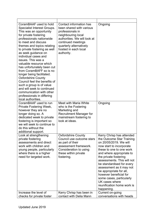| CoramBAAF used to hold<br>Specialist Interest Groups.<br>This was an opportunity<br>for private fostering<br>professionals nationwide<br>to meet and discuss<br>themes and topics relating<br>to private fostering as well<br>as seek guidance on<br>individual cases and<br>issues. This was a<br>valuable resource which<br>has unfortunately been cut<br>from CoramBAFF so is no<br>longer being facilitated.<br><b>Oxfordshire County</b><br>Council feel the benefits of<br>such a group is of value<br>and will seek to continued<br>communication with other<br>professionals in differing<br>local authorities. | Contact information has<br>been shared with various<br>professionals in<br>neighbouring local<br>authorities. We will look at<br>continued meetings<br>quarterly alternatively<br>hosted in each local<br>authority. | Ongoing                                                                                                                                                                                                                                                                                                                                                                                                                             |
|-------------------------------------------------------------------------------------------------------------------------------------------------------------------------------------------------------------------------------------------------------------------------------------------------------------------------------------------------------------------------------------------------------------------------------------------------------------------------------------------------------------------------------------------------------------------------------------------------------------------------|----------------------------------------------------------------------------------------------------------------------------------------------------------------------------------------------------------------------|-------------------------------------------------------------------------------------------------------------------------------------------------------------------------------------------------------------------------------------------------------------------------------------------------------------------------------------------------------------------------------------------------------------------------------------|
| CoramBAAF used to run<br>Private Fostering Week,<br>however they are no<br>longer doing so. A<br>dedicated week to private<br>fostering is important so<br>we will seek to continue to<br>do this without the<br>additional support.                                                                                                                                                                                                                                                                                                                                                                                    | <b>Meet with Maria White</b><br>who is the Fostering<br>Marketing and<br><b>Recruitment Manager for</b><br>mainstream fostering to<br>look at ideas.                                                                 | Ongoing                                                                                                                                                                                                                                                                                                                                                                                                                             |
| Look at strengthening<br>private fostering<br>assessments and direct<br>work with children and<br>young people, particularly<br>where there is a higher<br>need for targeted work.                                                                                                                                                                                                                                                                                                                                                                                                                                      | <b>Oxfordshire County</b><br>Council use outcome stars<br>as part of their<br>assessment framework.<br>Consideration to using<br>these within private<br>fostering.                                                  | Kerry Chrisp has attended<br>the Outcome Star Training<br>on 20/05/2019. We will<br>now start to incorporate<br>these to one to one work<br>and where appropriate to<br>the private fostering<br>assessments. This will not<br>be standardised for every<br>assessment as it may not<br>be appropriate for all,<br>however beneficial for<br>some cases, particularly<br>UK cases where<br>reunification home work is<br>happening. |
| Increase the level of<br>checks for private foster                                                                                                                                                                                                                                                                                                                                                                                                                                                                                                                                                                      | Kerry Chrisp has been in<br>contact with Delia Mann                                                                                                                                                                  | Current on-going<br>conversations with heads                                                                                                                                                                                                                                                                                                                                                                                        |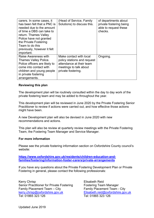| carers. In some cases, it<br>has been felt that a PNC is<br>needed due to the amount<br>of time a DBS can take to<br>return. Thames Valley<br>Police have not granted<br>the Private Fostering<br>Team to do this<br>previously, however it felt<br>important. | (Head of Service, Family<br>Solutions) to discuss this.                                                                            | of departments about<br>private fostering being<br>able to request these<br>checks. |
|----------------------------------------------------------------------------------------------------------------------------------------------------------------------------------------------------------------------------------------------------------------|------------------------------------------------------------------------------------------------------------------------------------|-------------------------------------------------------------------------------------|
| <b>Raise Awareness with</b><br><b>Thames Valley Police.</b><br>Police officers are likely to<br>come into contact with<br>children and young people<br>in private fostering<br>arrangements.                                                                   | Make contact with local<br>policy stations and request<br>attendance at their team<br>meetings to talk about<br>private fostering. | Ongoing.                                                                            |

#### **Reviewing this plan**

 private fostering team and may be added to throughout the year. The development plan will be routinely consulted within the day to day work of the

This development plan will be reviewed in June 2020 by the Private Fostering Senior Practitioner to review if actions were carried out, and how effective those actions might have been.

A new Development plan will also be devised in June 2020 with new recommendations and actions.

This plan will also be review at quarterly review meetings with the Private Fostering Team, the Fostering Team Manager and Service Manager.

#### **For more information**

Please see the private fostering information section on Oxfordshire County council's website:

**<https://www.oxfordshire.gov.uk/residents/children-education-and>families/fostering/information-foster-carers/private-arrangements**

If you have any questions about the Private Fostering Development Plan or Private Fostering in general, please contact the following professionals:

Kerry Chrisp Elisabeth Reid kerry.chrisp@oxfordshire.gov.uk Elisabeth.reid@oxfordshire.gov.uk Senior Practitioner for Private Fostering Fostering Team Manager Family Placement Team – City<br>
kerry.chrisp@oxfordshire.gov.uk<br>
Elisabeth.reid@oxfordshire.gov.uk Tel: 01865 323 126 Tel: 01865 323 126